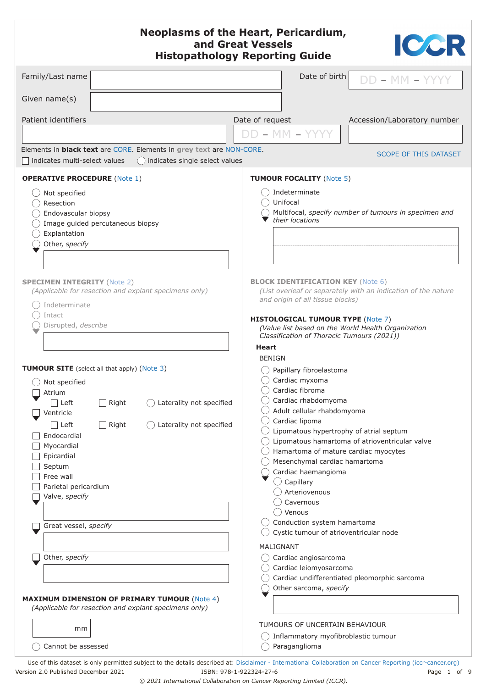<span id="page-0-0"></span>

| <b>Neoplasms of the Heart, Pericardium,</b><br>ICCR<br>and Great Vessels<br><b>Histopathology Reporting Guide</b>                                                                                                             |                                                                                                                               |                                                                                                                                                                                                                                                                                                                                                                                                                                                                                                                                                                                                           |  |  |
|-------------------------------------------------------------------------------------------------------------------------------------------------------------------------------------------------------------------------------|-------------------------------------------------------------------------------------------------------------------------------|-----------------------------------------------------------------------------------------------------------------------------------------------------------------------------------------------------------------------------------------------------------------------------------------------------------------------------------------------------------------------------------------------------------------------------------------------------------------------------------------------------------------------------------------------------------------------------------------------------------|--|--|
| Family/Last name                                                                                                                                                                                                              |                                                                                                                               | Date of birth<br>$DD - MM - YYYY$                                                                                                                                                                                                                                                                                                                                                                                                                                                                                                                                                                         |  |  |
| Given name(s)                                                                                                                                                                                                                 |                                                                                                                               |                                                                                                                                                                                                                                                                                                                                                                                                                                                                                                                                                                                                           |  |  |
| Patient identifiers                                                                                                                                                                                                           |                                                                                                                               | Date of request<br>Accession/Laboratory number                                                                                                                                                                                                                                                                                                                                                                                                                                                                                                                                                            |  |  |
|                                                                                                                                                                                                                               |                                                                                                                               | $DD - MM - YYY$                                                                                                                                                                                                                                                                                                                                                                                                                                                                                                                                                                                           |  |  |
| indicates multi-select values                                                                                                                                                                                                 | Elements in <b>black text</b> are CORE. Elements in grey text are NON-CORE.<br>() indicates single select values              | <b>SCOPE OF THIS DATASET</b>                                                                                                                                                                                                                                                                                                                                                                                                                                                                                                                                                                              |  |  |
| <b>OPERATIVE PROCEDURE (Note 1)</b>                                                                                                                                                                                           |                                                                                                                               | <b>TUMOUR FOCALITY (Note 5)</b>                                                                                                                                                                                                                                                                                                                                                                                                                                                                                                                                                                           |  |  |
| Not specified<br>Resection                                                                                                                                                                                                    |                                                                                                                               | Indeterminate<br>Unifocal                                                                                                                                                                                                                                                                                                                                                                                                                                                                                                                                                                                 |  |  |
| Endovascular biopsy<br>Image guided percutaneous biopsy<br>Explantation                                                                                                                                                       |                                                                                                                               | Multifocal, specify number of tumours in specimen and<br>their locations                                                                                                                                                                                                                                                                                                                                                                                                                                                                                                                                  |  |  |
| Other, specify                                                                                                                                                                                                                |                                                                                                                               |                                                                                                                                                                                                                                                                                                                                                                                                                                                                                                                                                                                                           |  |  |
| <b>SPECIMEN INTEGRITY (Note 2)</b><br>Indeterminate<br>Intact<br>Disrupted, describe                                                                                                                                          | (Applicable for resection and explant specimens only)                                                                         | <b>BLOCK IDENTIFICATION KEY (Note 6)</b><br>(List overleaf or separately with an indication of the nature<br>and origin of all tissue blocks)<br><b>HISTOLOGICAL TUMOUR TYPE (Note 7)</b><br>(Value list based on the World Health Organization<br>Classification of Thoracic Tumours (2021))<br>Heart                                                                                                                                                                                                                                                                                                    |  |  |
| $\bigcirc$ Not specified<br>Atrium<br>Left<br>Ventricle<br>$\Box$ Left<br>Endocardial<br>Myocardial<br>Epicardial<br>Septum<br>Free wall<br>Parietal pericardium<br>Valve, specify<br>Great vessel, specify<br>Other, specify | <b>TUMOUR SITE</b> (select all that apply) (Note 3)<br>Laterality not specified<br>Right<br>Right<br>Laterality not specified | <b>BENIGN</b><br>Papillary fibroelastoma<br>Cardiac myxoma<br>Cardiac fibroma<br>Cardiac rhabdomyoma<br>Adult cellular rhabdomyoma<br>Cardiac lipoma<br>Lipomatous hypertrophy of atrial septum<br>Lipomatous hamartoma of atrioventricular valve<br>Hamartoma of mature cardiac myocytes<br>Mesenchymal cardiac hamartoma<br>Cardiac haemangioma<br>$\bigcirc$ Capillary<br>Arteriovenous<br>Cavernous<br>Venous<br>Conduction system hamartoma<br>Cystic tumour of atrioventricular node<br>MALIGNANT<br>Cardiac angiosarcoma<br>Cardiac leiomyosarcoma<br>Cardiac undifferentiated pleomorphic sarcoma |  |  |
| mm                                                                                                                                                                                                                            | <b>MAXIMUM DIMENSION OF PRIMARY TUMOUR (Note 4)</b><br>(Applicable for resection and explant specimens only)                  | Other sarcoma, specify<br>TUMOURS OF UNCERTAIN BEHAVIOUR                                                                                                                                                                                                                                                                                                                                                                                                                                                                                                                                                  |  |  |
| Cannot be assessed                                                                                                                                                                                                            |                                                                                                                               | Inflammatory myofibroblastic tumour<br>Paraganglioma                                                                                                                                                                                                                                                                                                                                                                                                                                                                                                                                                      |  |  |

Use of this dataset is only permitted subject to the details described at: D[isclaimer - International Collaboration on Cancer Reporting \(iccr-cancer.org\)](http://www.iccr-cancer.org/info/disclaimer) Version 2.0 Published December 2021 ISBN: 978-1-922324-27-6 Page 1 of 9

*© 2021 International Collaboration on Cancer Reporting Limited (ICCR).*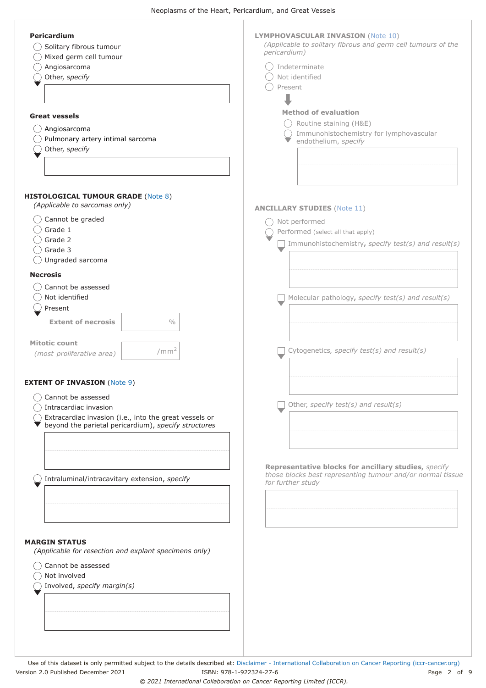<span id="page-1-0"></span>

| <b>Pericardium</b><br>Solitary fibrous tumour<br>Mixed germ cell tumour<br>Angiosarcoma<br>Other, specify<br><b>Great vessels</b><br>Angiosarcoma<br>Pulmonary artery intimal sarcoma<br>Other, specify | <b>LYMPHOVASCULAR INVASION (Note 10)</b><br>(Applicable to solitary fibrous and germ cell tumours of the<br>pericardium)<br>Indeterminate<br>Not identified<br>Present<br><b>Method of evaluation</b><br>Routine staining (H&E)<br>Immunohistochemistry for lymphovascular<br>endothelium, specify |
|---------------------------------------------------------------------------------------------------------------------------------------------------------------------------------------------------------|----------------------------------------------------------------------------------------------------------------------------------------------------------------------------------------------------------------------------------------------------------------------------------------------------|
| <b>HISTOLOGICAL TUMOUR GRADE (Note 8)</b><br>(Applicable to sarcomas only)<br>Cannot be graded<br>Grade 1<br>Grade 2<br>Grade 3<br>Ungraded sarcoma                                                     | <b>ANCILLARY STUDIES (Note 11)</b><br>Not performed<br>Performed (select all that apply)<br>Immunohistochemistry, specify test(s) and result(s)                                                                                                                                                    |
| <b>Necrosis</b><br>Cannot be assessed<br>Not identified<br>Present<br><b>Extent of necrosis</b><br>$\frac{0}{0}$<br><b>Mitotic count</b><br>/mm <sup>2</sup><br>(most proliferative area)               | Molecular pathology, specify test(s) and result(s)<br>Cytogenetics, specify test(s) and result(s)                                                                                                                                                                                                  |
| <b>EXTENT OF INVASION (Note 9)</b><br>Cannot be assessed<br>Intracardiac invasion<br>Extracardiac invasion (i.e., into the great vessels or<br>beyond the parietal pericardium), specify structures     | Other, specify test(s) and result(s)                                                                                                                                                                                                                                                               |
| Intraluminal/intracavitary extension, specify<br><b>MARGIN STATUS</b>                                                                                                                                   | Representative blocks for ancillary studies, specify<br>those blocks best representing tumour and/or normal tissue<br>for further study                                                                                                                                                            |
| (Applicable for resection and explant specimens only)<br>Cannot be assessed<br>Not involved<br>Involved, specify margin(s)                                                                              |                                                                                                                                                                                                                                                                                                    |

Use of this dataset is only permitted subject to the details described at: [Disclaimer - International Collaboration on Cancer Reporting \(iccr-cancer.org\)](http://www.iccr-cancer.org/info/disclaimer) Version 2.0 Published December 2021 ISBN: 978-1-922324-27-6 Page 2 of 9

*© 2021 International Collaboration on Cancer Reporting Limited (ICCR).*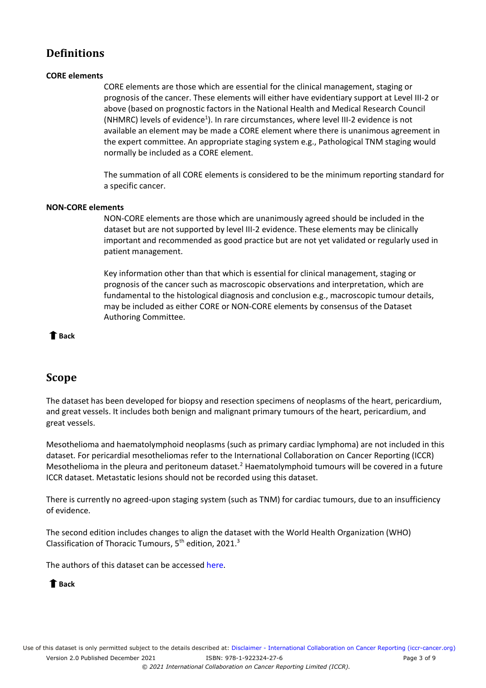## <span id="page-2-0"></span>**Definitions**

#### **CORE elements**

CORE elements are those which are essential for the clinical management, staging or prognosis of the cancer. These elements will either have evidentiary support at Level III-2 or above (based on prognostic factors in the National Health and Medical Research Council (NHMRC) levels of evidence<sup>1</sup>). In rare circumstances, where level III-2 evidence is not available an element may be made a CORE element where there is unanimous agreement in the expert committee. An appropriate staging system e.g., Pathological TNM staging would normally be included as a CORE element.

The summation of all CORE elements is considered to be the minimum reporting standard for a specific cancer.

#### **NON-CORE elements**

NON-CORE elements are those which are unanimously agreed should be included in the dataset but are not supported by level III-2 evidence. These elements may be clinically important and recommended as good practice but are not yet validated or regularly used in patient management.

Key information other than that which is essential for clinical management, staging or prognosis of the cancer such as macroscopic observations and interpretation, which are fundamental to the histological diagnosis and conclusion e.g., macroscopic tumour details, may be included as either CORE or NON-CORE elements by consensus of the Dataset Authoring Committee.

 **[Back](#page-0-0)** 

### **Scope**

The dataset has been developed for biopsy and resection specimens of neoplasms of the heart, pericardium, and great vessels. It includes both benign and malignant primary tumours of the heart, pericardium, and great vessels.

Mesothelioma and haematolymphoid neoplasms (such as primary cardiac lymphoma) are not included in this dataset. For pericardial mesotheliomas refer to the International Collaboration on Cancer Reporting (ICCR) Mesothelioma in the pleura and peritoneum dataset.<sup>2</sup> Haematolymphoid tumours will be covered in a future ICCR dataset. Metastatic lesions should not be recorded using this dataset.

There is currently no agreed-upon staging system (such as TNM) for cardiac tumours, due to an insufficiency of evidence.

The second edition includes changes to align the dataset with the World Health Organization (WHO) Classification of Thoracic Tumours,  $5<sup>th</sup>$  edition, 2021[.](#page-7-3)<sup>3</sup>

The authors of this dataset can be accessed [here.](http://www.iccr-cancer.org/datasets/published-datasets/thorax/heart)

### **[Back](#page-0-0)**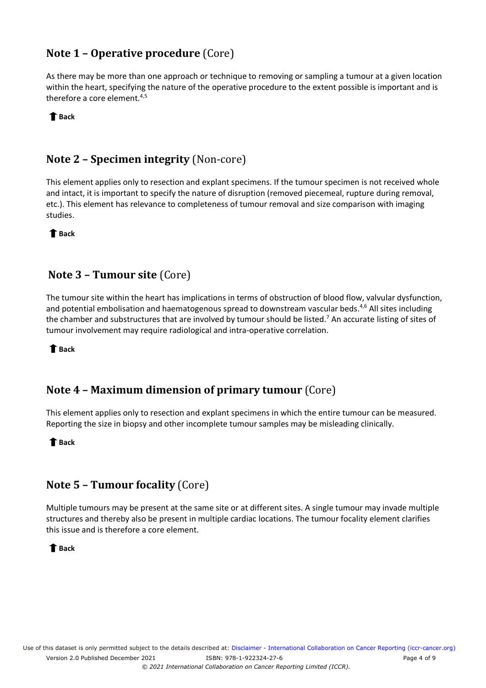# <span id="page-3-0"></span>**Note 1 – Operative procedure** (Core)

As there may be more than one approach or technique to removing or sampling a tumour at a given location within the heart, specifying the nature of the operative procedure to the extent possible is important and is therefore a core element.<sup>[4,](#page-7-4)[5](#page-7-5)</sup>

 **[Back](#page-0-0)** 

# **Note 2 – Specimen integrity** (Non-core)

This element applies only to resection and explant specimens. If the tumour specimen is not received whole and intact, it is important to specify the nature of disruption (removed piecemeal, rupture during removal, etc.). This element has relevance to completeness of tumour removal and size comparison with imaging studies.

 **[Back](#page-0-0)** 

### **Note 3 – Tumour site** (Core)

The tumour site within the heart has implications in terms of obstruction of blood flow, valvular dysfunction, and potential embolisation and haematogenous spread to downstream vascular beds.<sup>[4,](#page-7-4)[6](#page-7-6)</sup> All sites including the chamber and substructures that are involved by tumour should be listed.<sup>7</sup> An accurate listing of sites of tumour involvement may require radiological and intra-operative correlation.

 **[Back](#page-0-0)** 

## **Note 4 – Maximum dimension of primary tumour** (Core)

This element applies only to resection and explant specimens in which the entire tumour can be measured. Reporting the size in biopsy and other incomplete tumour samples may be misleading clinically.

 **[Back](#page-0-0)** 

## **Note 5 – Tumour focality** (Core)

Multiple tumours may be present at the same site or at different sites. A single tumour may invade multiple structures and thereby also be present in multiple cardiac locations. The tumour focality element clarifies this issue and is therefore a core element.

 **[Back](#page-0-0)**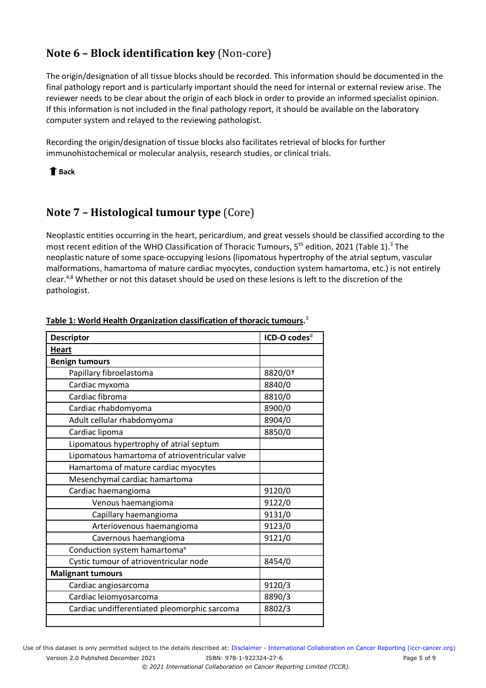# <span id="page-4-0"></span>**Note 6 – Block identification key** (Non-core)

The origin/designation of all tissue blocks should be recorded. This information should be documented in the final pathology report and is particularly important should the need for internal or external review arise. The reviewer needs to be clear about the origin of each block in order to provide an informed specialist opinion. If this information is not included in the final pathology report, it should be available on the laboratory computer system and relayed to the reviewing pathologist.

Recording the origin/designation of tissue blocks also facilitates retrieval of blocks for further immunohistochemical or molecular analysis, research studies, or clinical trials.

#### **[Back](#page-0-0)**

## **Note 7 – Histological tumour type** (Core)

Neoplastic entities occurring in the heart, pericardium, and great vessels should be classified according to the most recent edition of the WHO Classification of Thoracic Tumours, 5<sup>th</sup> edition, 2021 (Table 1).<sup>[3](#page-7-3)</sup> The neoplastic nature of some space-occupying lesions (lipomatous hypertrophy of the atrial septum, vascular malformations, hamartoma of mature cardiac myocytes, conduction system hamartoma, etc.) is not entirely clear.<sup>[4,](#page-7-4)[8](#page-7-8)</sup> Whether or not this dataset should be used on these lesions is left to the discretion of the pathologist.

| <b>Descriptor</b>                              | ICD-O codes <sup>d</sup> |
|------------------------------------------------|--------------------------|
| <b>Heart</b>                                   |                          |
| <b>Benign tumours</b>                          |                          |
| Papillary fibroelastoma                        | 8820/0+                  |
| Cardiac myxoma                                 | 8840/0                   |
| Cardiac fibroma                                | 8810/0                   |
| Cardiac rhabdomyoma                            | 8900/0                   |
| Adult cellular rhabdomyoma                     | 8904/0                   |
| Cardiac lipoma                                 | 8850/0                   |
| Lipomatous hypertrophy of atrial septum        |                          |
| Lipomatous hamartoma of atrioventricular valve |                          |
| Hamartoma of mature cardiac myocytes           |                          |
| Mesenchymal cardiac hamartoma                  |                          |
| Cardiac haemangioma                            | 9120/0                   |
| Venous haemangioma                             | 9122/0                   |
| Capillary haemangioma                          | 9131/0                   |
| Arteriovenous haemangioma                      | 9123/0                   |
| Cavernous haemangioma                          | 9121/0                   |
| Conduction system hamartoma <sup>a</sup>       |                          |
| Cystic tumour of atrioventricular node         | 8454/0                   |
| <b>Malignant tumours</b>                       |                          |
| Cardiac angiosarcoma                           | 9120/3                   |
| Cardiac leiomyosarcoma                         | 8890/3                   |
| Cardiac undifferentiated pleomorphic sarcoma   | 8802/3                   |
|                                                |                          |

### **Table 1: World Health Organization classification of thoracic tumours[.](#page-7-3)** 3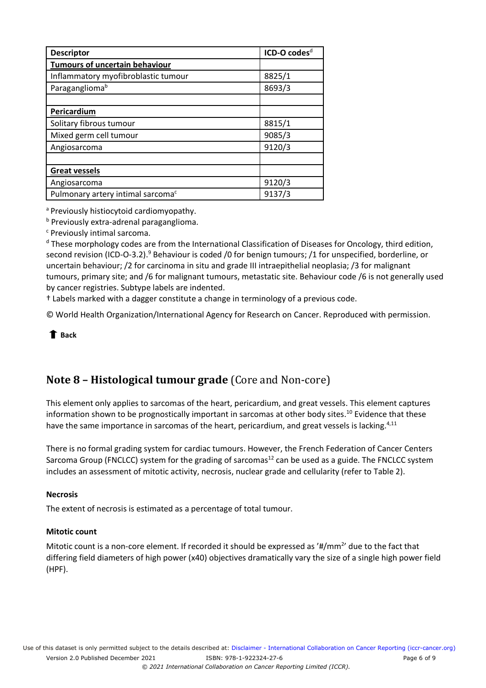<span id="page-5-0"></span>

| <b>Descriptor</b>                             | ICD-O codes <sup>d</sup> |
|-----------------------------------------------|--------------------------|
| <b>Tumours of uncertain behaviour</b>         |                          |
| Inflammatory myofibroblastic tumour           | 8825/1                   |
| Paragangliomab                                | 8693/3                   |
|                                               |                          |
| Pericardium                                   |                          |
| Solitary fibrous tumour                       | 8815/1                   |
| Mixed germ cell tumour                        | 9085/3                   |
| Angiosarcoma                                  | 9120/3                   |
|                                               |                          |
| <b>Great vessels</b>                          |                          |
| Angiosarcoma                                  | 9120/3                   |
| Pulmonary artery intimal sarcoma <sup>c</sup> | 9137/3                   |

a Previously histiocytoid cardiomyopathy.

**b** Previously extra-adrenal paraganglioma.

<sup>c</sup> Previously intimal sarcoma.

<sup>d</sup> These morphology codes are from the International Classification of Diseases for Oncology, third edition, second revision (ICD-O-3.2).<sup>9</sup> Behaviour is coded /0 for benign tumours; /1 for unspecified, borderline, or uncertain behaviour; /2 for carcinoma in situ and grade III intraepithelial neoplasia; /3 for malignant tumours, primary site; and /6 for malignant tumours, metastatic site. Behaviour code /6 is not generally used by cancer registries. Subtype labels are indented.

† Labels marked with a dagger constitute a change in terminology of a previous code.

© World Health Organization/International Agency for Research on Cancer. Reproduced with permission.

 **[Back](#page-0-0)** 

# **Note 8 – Histological tumour grade** (Core and Non-core)

This element only applies to sarcomas of the heart, pericardium, and great vessels. This element captures information shown to be prognostically important in sarcomas at other body sites.<sup>10</sup> Evidence that these have the same importance in sarcomas of the heart, pericardium, and great vessels is lacking.<sup>4,[11](#page-8-0)</sup>

There is no formal grading system for cardiac tumours. However, the French Federation of Cancer Centers Sarcoma Group (FNCLCC) system for the grading of sarcomas<sup>12</sup> can be used as a guide. The FNCLCC system includes an assessment of mitotic activity, necrosis, nuclear grade and cellularity (refer to Table 2).

#### **Necrosis**

The extent of necrosis is estimated as a percentage of total tumour.

#### **Mitotic count**

Mitotic count is a non-core element. If recorded it should be expressed as '#/mm<sup>2</sup>' due to the fact that differing field diameters of high power (x40) objectives dramatically vary the size of a single high power field (HPF).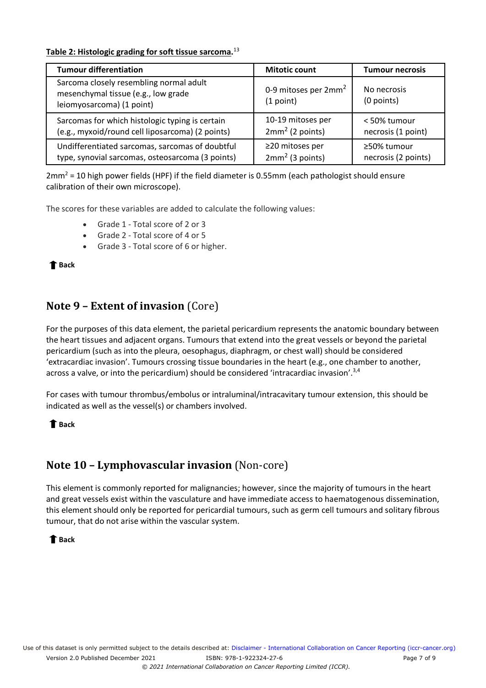#### <span id="page-6-0"></span>**Table 2: Histologic grading for soft tissue sarcoma.** [13](#page-8-2)

| <b>Tumour differentiation</b>                                                                               | <b>Mitotic count</b>                          | Tumour necrosis           |
|-------------------------------------------------------------------------------------------------------------|-----------------------------------------------|---------------------------|
| Sarcoma closely resembling normal adult<br>mesenchymal tissue (e.g., low grade<br>leiomyosarcoma) (1 point) | 0-9 mitoses per 2mm <sup>2</sup><br>(1 point) | No necrosis<br>(0 points) |
| Sarcomas for which histologic typing is certain                                                             | 10-19 mitoses per                             | < 50% tumour              |
| (e.g., myxoid/round cell liposarcoma) (2 points)                                                            | $2mm2$ (2 points)                             | necrosis (1 point)        |
| Undifferentiated sarcomas, sarcomas of doubtful                                                             | $\geq$ 20 mitoses per                         | ≥50% tumour               |
| type, synovial sarcomas, osteosarcoma (3 points)                                                            | $2mm2$ (3 points)                             | necrosis (2 points)       |

 $2mm^2$  = 10 high power fields (HPF) if the field diameter is 0.55mm (each pathologist should ensure calibration of their own microscope).

The scores for these variables are added to calculate the following values:

- Grade 1 Total score of 2 or 3
- Grade 2 Total score of 4 or 5
- Grade 3 Total score of 6 or higher.

 **[Back](#page-1-0)** 

### **Note 9 – Extent of invasion** (Core)

For the purposes of this data element, the parietal pericardium represents the anatomic boundary between the heart tissues and adjacent organs. Tumours that extend into the great vessels or beyond the parietal pericardium (such as into the pleura, oesophagus, diaphragm, or chest wall) should be considered 'extracardiac invasion'. Tumours crossing tissue boundaries in the heart (e.g., one chamber to another, across a valve, or into the pericardium) should be considered 'intracardiac invasion'.<sup>[3,](#page-7-3)[4](#page-7-4)</sup>

For cases with tumour thrombus/embolus or intraluminal/intracavitary tumour extension, this should be indicated as well as the vessel(s) or chambers involved.

### **[Back](#page-1-0)**

## **Note 10 – Lymphovascular invasion** (Non-core)

This element is commonly reported for malignancies; however, since the majority of tumours in the heart and great vessels exist within the vasculature and have immediate access to haematogenous dissemination, this element should only be reported for pericardial tumours, such as germ cell tumours and solitary fibrous tumour, that do not arise within the vascular system.

### **[Back](#page-1-0)**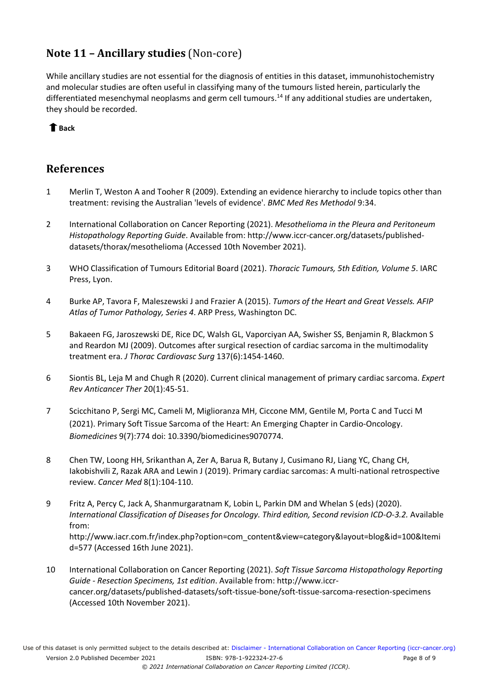# <span id="page-7-0"></span>**Note 11 – Ancillary studies** (Non-core)

While ancillary studies are not essential for the diagnosis of entities in this dataset, immunohistochemistry and molecular studies are often useful in classifying many of the tumours listed herein, particularly the differentiated mesenchymal neoplasms and germ cell tumours.<sup>[14](#page-8-3)</sup> If any additional studies are undertaken, they should be recorded.

### **[Back](#page-1-0)**

### **References**

- <span id="page-7-1"></span>1 Merlin T, Weston A and Tooher R (2009). Extending an evidence hierarchy to include topics other than treatment: revising the Australian 'levels of evidence'. *BMC Med Res Methodol* 9:34.
- <span id="page-7-2"></span>2 International Collaboration on Cancer Reporting (2021). *Mesothelioma in the Pleura and Peritoneum Histopathology Reporting Guide*. Available from: http://www.iccr-cancer.org/datasets/publisheddatasets/thorax/mesothelioma (Accessed 10th November 2021).
- <span id="page-7-3"></span>3 WHO Classification of Tumours Editorial Board (2021). *Thoracic Tumours, 5th Edition, Volume 5*. IARC Press, Lyon.
- <span id="page-7-4"></span>4 Burke AP, Tavora F, Maleszewski J and Frazier A (2015). *Tumors of the Heart and Great Vessels. AFIP Atlas of Tumor Pathology, Series 4*. ARP Press, Washington DC.
- <span id="page-7-5"></span>5 Bakaeen FG, Jaroszewski DE, Rice DC, Walsh GL, Vaporciyan AA, Swisher SS, Benjamin R, Blackmon S and Reardon MJ (2009). Outcomes after surgical resection of cardiac sarcoma in the multimodality treatment era. *J Thorac Cardiovasc Surg* 137(6):1454-1460.
- <span id="page-7-6"></span>6 Siontis BL, Leja M and Chugh R (2020). Current clinical management of primary cardiac sarcoma. *Expert Rev Anticancer Ther* 20(1):45-51.
- <span id="page-7-7"></span>7 Scicchitano P, Sergi MC, Cameli M, Miglioranza MH, Ciccone MM, Gentile M, Porta C and Tucci M (2021). Primary Soft Tissue Sarcoma of the Heart: An Emerging Chapter in Cardio-Oncology. *Biomedicines* 9(7):774 doi: 10.3390/biomedicines9070774.
- <span id="page-7-8"></span>8 Chen TW, Loong HH, Srikanthan A, Zer A, Barua R, Butany J, Cusimano RJ, Liang YC, Chang CH, Iakobishvili Z, Razak ARA and Lewin J (2019). Primary cardiac sarcomas: A multi-national retrospective review. *Cancer Med* 8(1):104-110.
- <span id="page-7-9"></span>9 Fritz A, Percy C, Jack A, Shanmurgaratnam K, Lobin L, Parkin DM and Whelan S (eds) (2020). *International Classification of Diseases for Oncology. Third edition, Second revision ICD-O-3.2.* Available from: http://www.iacr.com.fr/index.php?option=com\_content&view=category&layout=blog&id=100&Itemi d=577 (Accessed 16th June 2021).
- <span id="page-7-10"></span>10 International Collaboration on Cancer Reporting (2021). *Soft Tissue Sarcoma Histopathology Reporting Guide - Resection Specimens, 1st edition*. Available from: http://www.iccrcancer.org/datasets/published-datasets/soft-tissue-bone/soft-tissue-sarcoma-resection-specimens (Accessed 10th November 2021).